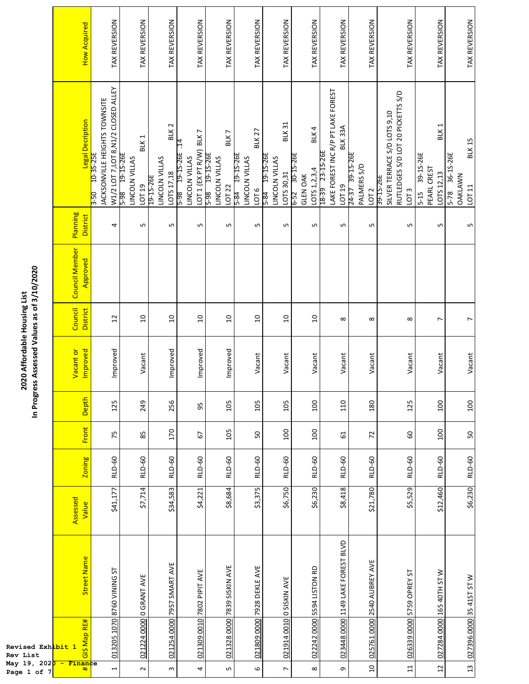|                                                                             | <b>How Acquired</b>          | TAX REVERSION                                                                                          | TAX REVERSION                                                     | TAX REVERSION                                                 | TAX REVERSION                                                                | TAX REVERSION                                      | TAX REVERSION                                                     | TAX REVERSION                                                         | TAX REVERSION                                                 | TAX REVERSION                                                             | TAX REVERSION                                         | TAX REVERSION                                                                                      | TAX REVERSION                                                        | TAX REVERSION                                               |
|-----------------------------------------------------------------------------|------------------------------|--------------------------------------------------------------------------------------------------------|-------------------------------------------------------------------|---------------------------------------------------------------|------------------------------------------------------------------------------|----------------------------------------------------|-------------------------------------------------------------------|-----------------------------------------------------------------------|---------------------------------------------------------------|---------------------------------------------------------------------------|-------------------------------------------------------|----------------------------------------------------------------------------------------------------|----------------------------------------------------------------------|-------------------------------------------------------------|
|                                                                             | Legal Decription             | W1/2 LOT 7, LOT 8, N1/2 CLOSED ALLEY<br>JACKSONVILLE HEIGHTS TOWNSITE<br>10-35-25E<br>$\frac{1}{3.50}$ | BLK <sub>1</sub><br>19-15-26E<br>LINCOLN VILLAS<br>LOT 19<br>5-98 | BLK <sub>2</sub><br>LINCOLN VILLAS<br>LOTS 17,18<br>19-15-26E | LOT 1 (EX PT R/W) BLK 7<br>$\ddot{5}$<br>19-15-26E<br>LINCOLN VILLAS<br>5-98 | BLK7<br>5-98 19-15-26E<br>LINCOLN VILLAS<br>LOT 22 | BLK 27<br>19-15-26E<br>LINCOLN VILLAS<br>LOT <sub>6</sub><br>5-84 | <b>BLK31</b><br>19-15-26E<br>LINCOLN VILLAS<br>LOTS 30,31<br>$5 - 84$ | BLK 4<br>30-15-26E<br>LOTS 1,2,3,4<br><b>GLEN OAK</b><br>6-52 | LAKE FOREST INC R/P PT LAKE FOREST<br>BLK33A<br>18-39 23-15-26E<br>LOT 19 | 39-1S-26E<br>PALMERS S/D<br>24-37<br>LOT <sub>2</sub> | RUTLEDGES S/D LOT 20 PICKETTS S/D<br>SILVER TERRACE S/D LOTS 9,10<br>39-15-26E<br>LOT <sub>3</sub> | BLK <sub>1</sub><br>39-15-26E<br>PEARL CREST<br>LOTS 12,13<br>$5-15$ | <b>BLK 15</b><br>36-15-26E<br>OAKLAWN<br>LOT 11<br>$5 - 78$ |
|                                                                             | Planning<br>District         | 4                                                                                                      | L                                                                 | LN.                                                           | Б                                                                            | LN,                                                | S                                                                 | S                                                                     | S                                                             | Б                                                                         | LN.                                                   | LN.                                                                                                | LN,                                                                  | LŊ                                                          |
| In Progress Assessed Values as of 3/10/2020<br>2020 Affordable Housing List | Council Member<br>Approved   |                                                                                                        |                                                                   |                                                               |                                                                              |                                                    |                                                                   |                                                                       |                                                               |                                                                           |                                                       |                                                                                                    |                                                                      |                                                             |
|                                                                             | Council<br>District          | $\overline{12}$                                                                                        | $\overline{a}$                                                    | $\overline{a}$                                                | $\overline{a}$                                                               | $\overline{a}$                                     | $\overline{a}$                                                    | $\overline{a}$                                                        | $\overline{a}$                                                | $\infty$                                                                  | $\infty$                                              | $\infty$                                                                                           | $\overline{ }$                                                       | $\overline{ }$                                              |
|                                                                             | Improved<br>Vacant or        | Improved                                                                                               | Vacant                                                            | Improved                                                      | Improved                                                                     | Improved                                           | Vacant                                                            | Vacant                                                                | Vacant                                                        | Vacant                                                                    | Vacant                                                | Vacant                                                                                             | Vacant                                                               | Vacant                                                      |
|                                                                             | Depth                        | 125                                                                                                    | 249                                                               | 256                                                           | 95                                                                           | 105                                                | 105                                                               | 105                                                                   | 100                                                           | 110                                                                       | 180                                                   | 125                                                                                                | 100                                                                  | 100                                                         |
|                                                                             | Front                        | 75                                                                                                     | 85                                                                | 170                                                           | 67                                                                           | 105                                                | 50                                                                | 100                                                                   | 100                                                           | 5                                                                         | 72                                                    | 60                                                                                                 | 100                                                                  | 50                                                          |
|                                                                             | Zoning                       | <b>RLD-60</b>                                                                                          | RLD-60                                                            | <b>RLD-60</b>                                                 | <b>RLD-60</b>                                                                | <b>RLD-60</b>                                      | <b>RLD-60</b>                                                     | <b>RLD-60</b>                                                         | <b>RLD-60</b>                                                 | <b>RLD-60</b>                                                             | <b>RLD-60</b>                                         | <b>RLD-60</b>                                                                                      | <b>RLD-60</b>                                                        | <b>RLD-60</b>                                               |
|                                                                             | Assessed<br>Value            | \$41,177                                                                                               | \$7,714                                                           | \$34,583                                                      | \$4,221                                                                      | \$8,684                                            | \$3,375                                                           | \$6,750                                                               | \$6,230                                                       | \$8,418                                                                   | \$21,780                                              | \$5,529                                                                                            | \$12,460                                                             | \$6,230                                                     |
|                                                                             | <b>Street Name</b>           | 013205 1070 8760 VINING ST                                                                             | 021224 0000 0 GRANT AVE                                           | 021254 0000 7957 SMART AVE                                    | 7802 PIPIT AVE                                                               | 021328 0000 7839 SISKIN AVE                        | 021809 0000 7928 DEKLE AVE                                        | 021914 0010 0 SISKIN AVE                                              | 022242 0000 5594 LISTON RD                                    | 023448 0000 1149 LAKE FOREST BLVD                                         | 025761 0000 2540 AUBREY AVE                           | 026339 0000 5759 OPREY ST                                                                          | 027284 0000 165 40TH ST W                                            | 027396 0000 35 41ST ST W                                    |
| Revised Exh <mark>ibit 1</mark>                                             | GIS Map RE#                  |                                                                                                        |                                                                   |                                                               | 021309 0010                                                                  |                                                    |                                                                   |                                                                       |                                                               |                                                                           |                                                       |                                                                                                    |                                                                      |                                                             |
| Rev List<br>May 19, 202 <mark>0</mark><br>Page 1 of 7                       | <mark>- Finan</mark> ce<br># | $\overline{ }$                                                                                         | $\sim$                                                            | $\sim$                                                        | 4                                                                            | LŊ                                                 | $\mathbf \omega$                                                  | $\overline{ }$                                                        | $\infty$                                                      | G                                                                         | $\Xi$                                                 | $\Xi$                                                                                              | $\overline{c}$                                                       | $\frac{1}{2}$                                               |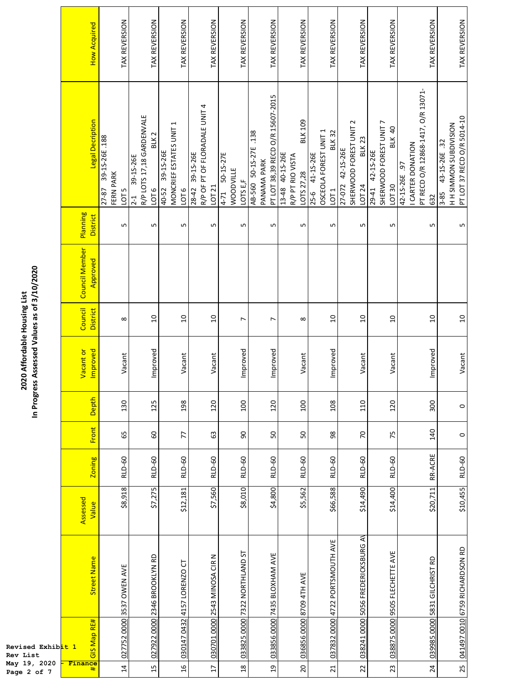|                                                                             | <b>How Acquired</b>               | TAX REVERSION                                           | TAX REVERSION                                                                        | TAX REVERSION                                         | TAX REVERSION                                              | TAX REVERSION                                                    | TAX REVERSION                                                               | TAX REVERSION                                                      | TAX REVERSION                                                               | TAX REVERSION                                                           | TAX REVERSION                                                    | TAX REVERSION                                                                   | TAX REVERSION                                                                     |
|-----------------------------------------------------------------------------|-----------------------------------|---------------------------------------------------------|--------------------------------------------------------------------------------------|-------------------------------------------------------|------------------------------------------------------------|------------------------------------------------------------------|-----------------------------------------------------------------------------|--------------------------------------------------------------------|-----------------------------------------------------------------------------|-------------------------------------------------------------------------|------------------------------------------------------------------|---------------------------------------------------------------------------------|-----------------------------------------------------------------------------------|
|                                                                             | Legal Decription                  | 39-15-26E.188<br>FERN PARK<br>27-87<br>LOT <sub>5</sub> | R/P LOTS 17,18 GARDENVALE<br>BLK <sub>2</sub><br>39-15-26E<br><b>PLO1</b><br>$2 - 1$ | MONCRIEF ESTATES UNIT 1<br>39-15-26E<br>40-52<br>1016 | R/P OF PT OF FLORADALE UNIT 4<br>28-42 39-15-26E<br>LOT 21 | 50-15-27E<br><b>WOODVILLE</b><br>LOTS E <sub>F</sub><br>$4 - 71$ | PT LOT 38,39 RECD O/R 15607-2015<br>50-15-27E .138<br>PANAMA PARK<br>AB-560 | <b>BLK109</b><br>13-48 40-15-26E<br>R/P PT RIO VISTA<br>LOTS 27,28 | OSCEOLA FOREST UNIT 1<br><b>BLK32</b><br>25-6 41-15-26E<br>LOT <sub>1</sub> | SHERWOOD FOREST UNIT 2<br><b>BLK23</b><br>42-15-26E<br>27-072<br>LOT 24 | SHERWOOD FOREST UNIT 7<br>BLK 40<br>42-15-26E<br>LOT 30<br>29-41 | PT RECD O/R 12868-1417, O/R 13071-<br>I CARTER DONATION<br>42-15-26E .97<br>632 | PT LOT 37 RECD O/R 5014-10<br>H H SIMMON SUBDIVISION<br>43-15-26E .32<br>$3 - 85$ |
|                                                                             | Planning<br>District              | S                                                       | S                                                                                    | Б                                                     | S                                                          | LN,                                                              | S                                                                           | LN.                                                                | Ln                                                                          | 5                                                                       | 5                                                                | LN,                                                                             | L                                                                                 |
|                                                                             | <b>Council Member</b><br>Approved |                                                         |                                                                                      |                                                       |                                                            |                                                                  |                                                                             |                                                                    |                                                                             |                                                                         |                                                                  |                                                                                 |                                                                                   |
|                                                                             | Council<br><b>District</b>        | $\infty$                                                | $\overline{a}$                                                                       | $\overline{a}$                                        | $\overline{a}$                                             | $\overline{ }$                                                   | $\overline{ }$                                                              | $\infty$                                                           | $\overline{a}$                                                              | S                                                                       | g                                                                | $\overline{a}$                                                                  | $\Omega$                                                                          |
| In Progress Assessed Values as of 3/10/2020<br>2020 Affordable Housing List | Vacant or<br>Improved             | Vacant                                                  | Improved                                                                             | Vacant                                                | Vacant                                                     | Improved                                                         | Improved                                                                    | Vacant                                                             | Improved                                                                    | Vacant                                                                  | Vacant                                                           | Improved                                                                        | Vacant                                                                            |
|                                                                             | Depth                             | 130                                                     | 125                                                                                  | 198                                                   | 120                                                        | 100                                                              | 120                                                                         | 100                                                                | 108                                                                         | 110                                                                     | 120                                                              | 300                                                                             | $\circ$                                                                           |
|                                                                             | Front                             | 65                                                      | 60                                                                                   | 77                                                    | යි                                                         | 90                                                               | 50                                                                          | 50                                                                 | 98                                                                          | $\overline{2}$                                                          | 75                                                               | 140                                                                             | $\circ$                                                                           |
|                                                                             | <b>Zoning</b>                     | <b>RLD-60</b>                                           | <b>RLD-60</b>                                                                        | <b>RLD-60</b>                                         | <b>RLD-60</b>                                              | <b>RLD-60</b>                                                    | <b>RLD-60</b>                                                               | <b>RLD-60</b>                                                      | <b>RLD-60</b>                                                               | RLD-60                                                                  | <b>RLD-60</b>                                                    | RR-ACRE                                                                         | <b>RLD-60</b>                                                                     |
|                                                                             | Assessed<br>Value                 | \$8,918                                                 | \$7,275                                                                              | \$12,181                                              | \$7,560                                                    | \$8,010                                                          | \$4,800                                                                     | \$5,562                                                            | \$66,588                                                                    | \$14,490                                                                | \$14,400                                                         | \$20,711                                                                        | \$10,455                                                                          |
|                                                                             | <b>Street Name</b>                | 027752 0000 3537 OWEN AVE                               | 027922 0000 2346 BROOKLYN RD                                                         | 4157 LORENZO CT                                       | 030701 0000 2543 MINOSA CIR N                              | 033825 0000 7322 NORTHLAND ST                                    | 033856 0000 7435 BLOXHAM AVE                                                | 036856 0000 8709 4TH AVE                                           | 4722 PORTSMOUTH AVE                                                         | 5056 FREDERICKSBURG AV                                                  | 038875 0000 9505 FLECHETTE AVE                                   | 5831 GILCHRIST RD                                                               | 041497 0010 6759 RICHARDSON RD                                                    |
| Revised Exhib <mark>it 1</mark><br>Rev List                                 | GIS Map RE#                       |                                                         |                                                                                      | 0432<br>030147                                        |                                                            |                                                                  |                                                                             |                                                                    | 037832 0000                                                                 | 038241 0000                                                             |                                                                  | 039985 0000                                                                     |                                                                                   |
| May 19, 2020<br>Page 2 of 7                                                 | Finance<br>#                      | $\overline{4}$                                          | 15                                                                                   | $\mathfrak{a}$                                        | $\overline{17}$                                            | $\mathop{2\mathrm{S}}$                                           | $\overline{a}$                                                              | $20\,$                                                             | $\overline{z}$                                                              | $\overline{2}$                                                          | 23                                                               | 24                                                                              | 25                                                                                |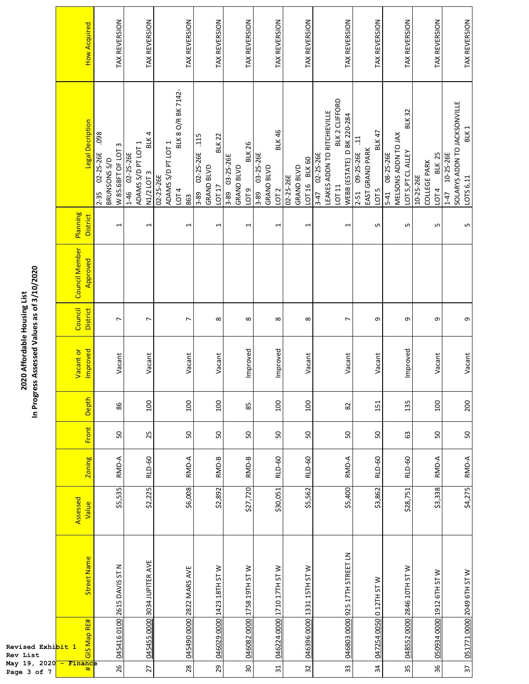F

|                                                                             | <b>How Acquired</b>         | TAX REVERSION                                                      | TAX REVERSION                                                      | TAX REVERSION                                                         | TAX REVERSION                                                             | TAX REVERSION                                                       | TAX REVERSION                                                                  | TAX REVERSION                            | TAX REVERSION                                                                                           | TAX REVERSION                                                             | TAX REVERSION                                                               | TAX REVERSION                                              | TAX REVERSION                                                                          |
|-----------------------------------------------------------------------------|-----------------------------|--------------------------------------------------------------------|--------------------------------------------------------------------|-----------------------------------------------------------------------|---------------------------------------------------------------------------|---------------------------------------------------------------------|--------------------------------------------------------------------------------|------------------------------------------|---------------------------------------------------------------------------------------------------------|---------------------------------------------------------------------------|-----------------------------------------------------------------------------|------------------------------------------------------------|----------------------------------------------------------------------------------------|
|                                                                             | Legal Decription            | 860<br>W 85.68FT OF LOT 3<br>02-25-26E<br>BRUNSONS S/D<br>$2 - 35$ | BLK 4<br>ADAMS S/D PT LOT 1<br>02-25-26E<br>N1/2 LOT 3<br>$1 - 46$ | BLK 8 O/R BK 7142-<br>ADAMS S/D PT LOT 1<br>02-25-26E<br>LOT 4<br>863 | <b>BLK 22</b><br>.115<br>02-25-26E<br><b>GRAND BLVD</b><br>LOT 17<br>3-89 | <b>BLK26</b><br>03-25-26E<br>GRAND BLVD<br>LOT <sub>9</sub><br>3-89 | <b>BLK46</b><br>03-25-26E<br><b>GRAND BLVD</b><br>LOT <sub>2</sub><br>$8 - 89$ | LOT 16 BLK 60<br>GRAND BLVD<br>02-25-26E | BLK 2 CLIFFORD<br>LEAKES ADDN TO RITCHIEVILLE<br>WEBB (ESTATE) D BK 220-284<br>3-47 02-25-26E<br>LOT 11 | <b>BLK47</b><br>2-51 09-25-26E .11<br>EAST GRAND PARK<br>LOT <sub>5</sub> | <b>BLK32</b><br>MELSONS ADDN TO JAX<br>LOT 5, PT CL ALLEY<br>5-41 08-25-26E | <b>BLK 25</b><br><b>COLLEGE PARK</b><br>10-25-26E<br>110T4 | SOLARYS ADDN TO JACKSONVILLE<br>BLK <sub>1</sub><br>10-25-26E<br>LOTS 6,11<br>$1 - 47$ |
|                                                                             | Planning<br><b>District</b> | $\overline{ }$                                                     | $\overline{ }$                                                     | $\overline{ }$                                                        | $\mathbf{r}$                                                              | $\overline{ }$                                                      | $\mathbf{\overline{u}}$                                                        | 1                                        | $\mathbf{\overline{u}}$                                                                                 | 5                                                                         | LN,                                                                         | LŊ                                                         | LN                                                                                     |
| In Progress Assessed Values as of 3/10/2020<br>2020 Affordable Housing List | Council Member<br>Approved  |                                                                    |                                                                    |                                                                       |                                                                           |                                                                     |                                                                                |                                          |                                                                                                         |                                                                           |                                                                             |                                                            |                                                                                        |
|                                                                             | Council<br><b>District</b>  | r                                                                  | $\overline{ }$                                                     | $\overline{ }$                                                        | $\infty$                                                                  | ${}^{\circ}$                                                        | ${}^{\circ}$                                                                   | $\infty$                                 | $\overline{ }$                                                                                          | თ                                                                         | თ                                                                           | თ                                                          | თ                                                                                      |
|                                                                             | Vacant or<br>Improved       | Vacant                                                             | Vacant                                                             | Vacant                                                                | Vacant                                                                    | Improved                                                            | Improved                                                                       | Vacant                                   | Vacant                                                                                                  | Vacant                                                                    | Improved                                                                    | Vacant                                                     | Vacant                                                                                 |
|                                                                             | Depth                       | 86                                                                 | <b>OOT</b>                                                         | 100                                                                   | 100                                                                       | 85                                                                  | 100                                                                            | 100                                      | $82\,$                                                                                                  | 151                                                                       | 135                                                                         | <b>200</b>                                                 | 200                                                                                    |
|                                                                             | <b>Front</b>                | 50                                                                 | 25                                                                 | SO,                                                                   | 50                                                                        | 50                                                                  | 50                                                                             | 50                                       | 50                                                                                                      | 50                                                                        | යි                                                                          | 50                                                         | 50                                                                                     |
|                                                                             | <b>Zoning</b>               | RMD-A                                                              | <b>RLD-60</b>                                                      | RMD-A                                                                 | RMD-B                                                                     | RMD-B                                                               | RLD-60                                                                         | <b>RLD-60</b>                            | RMD-A                                                                                                   | RLD-60                                                                    | <b>RLD-60</b>                                                               | RMD-A                                                      | RMD-A                                                                                  |
| Revised Exhi <mark>bit 1</mark>                                             | Assessed<br>Value           | \$5,535                                                            | \$2,225                                                            | \$6,008                                                               | \$2,892                                                                   | \$27,720                                                            | \$30,051                                                                       | \$5,562                                  | \$5,400                                                                                                 | \$3,862                                                                   | \$28,751                                                                    | \$3,338                                                    | \$4,275                                                                                |
|                                                                             | <b>Street Name</b>          | 045416 0100 2615 DAVIS ST N                                        | 045455 0000 3034 JUPITER AVE                                       | 045490 0000 2822 MARS AVE                                             | 046029 0000 1423 18TH ST W                                                | 1758 19TH ST W                                                      | 046224 0000 1710 17TH ST W                                                     | 046396 0000 1331 15TH ST W               | 925 17TH STREET LN                                                                                      | 047254 0050 0 12TH ST W                                                   | 048552 0000 2846 10TH ST W                                                  | 050934 0000 1912 6TH ST W                                  | 051771 0000 2049 6TH ST W                                                              |
|                                                                             | GIS Map RE#                 |                                                                    |                                                                    |                                                                       |                                                                           | 046082 0000                                                         |                                                                                |                                          | 046803 0000                                                                                             |                                                                           |                                                                             |                                                            |                                                                                        |
| Rev List<br>May 19, 2020 - Finance<br>Page 3 of 7                           |                             | 26                                                                 | 27                                                                 | 28                                                                    | 29                                                                        | 30                                                                  | 31                                                                             | 32                                       | 33                                                                                                      | 34                                                                        | 35                                                                          | 36                                                         | $\overline{37}$                                                                        |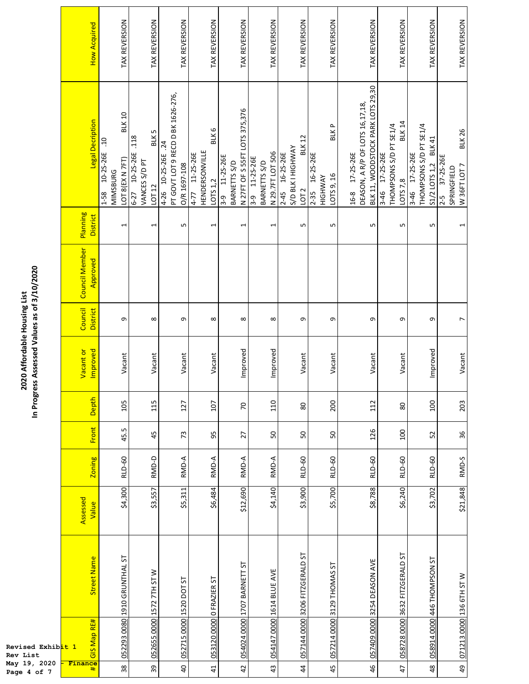| In Progress Assessed Values as of 3/10/2020<br>2020 Affordable Housing List | <b>How Acquired</b>               | TAX REVERSION                                                                     | TAX REVERSION                                                     | TAX REVERSION                                                                    | TAX REVERSION                                         | TAX REVERSION                                                         | TAX REVERSION                                                   | TAX REVERSION                                                           | TAX REVERSION                                                        | TAX REVERSION                                                                             | TAX REVERSION                                                                | TAX REVERSION                                                             | TAX REVERSION                                                       |
|-----------------------------------------------------------------------------|-----------------------------------|-----------------------------------------------------------------------------------|-------------------------------------------------------------------|----------------------------------------------------------------------------------|-------------------------------------------------------|-----------------------------------------------------------------------|-----------------------------------------------------------------|-------------------------------------------------------------------------|----------------------------------------------------------------------|-------------------------------------------------------------------------------------------|------------------------------------------------------------------------------|---------------------------------------------------------------------------|---------------------------------------------------------------------|
|                                                                             | Legal Decription                  | <b>BLK10</b><br>٩.<br>10-25-26E<br>LOT 8(EX N 7FT)<br><b>MIMSBURG</b><br>$1 - 58$ | BLK 5<br>.118<br>10-25-26E<br>VANCES S/D PT<br>LOT 12<br>$6 - 27$ | PT GOVT LOT 9 RECD D BK 1626-276,<br>$\dot{z}$<br>4-26 10-25-26E<br>O/R 1697-108 | BLK 6<br>HENDERSONVILLE<br>4-77 11-25-26E<br>LOTS 1,2 | N 27FT OF S 55FT LOTS 375,376<br>11-25-26E<br>BARNETTS S/D<br>၅.<br>က | N 29.7FT LOT 506<br>11-25-26E<br>BARNETTS S/D<br><u>გ.</u><br>თ | <b>BLK12</b><br>S/D BLK I HIGHWAY<br>2-45 16-25-26E<br>LOT <sub>2</sub> | <b>BLKP</b><br>16-25-26E<br>LOTS 9, 16<br><b>HIGHWAY</b><br>$2 - 35$ | BLK 11, WOODSTOCK PARK LOTS 29,30<br>DEASON, A R/P OF LOTS 16,17,18,<br>17-25-26E<br>16-8 | <b>BLK 14</b><br>THOMPSONS S/D PT SE1/4<br>17-25-26E<br>LOTS 7,8<br>$3 - 46$ | THOMPSONS S/D PT SE1/4<br><b>BLK41</b><br>3-46 17-25-26E<br>S1/2 LOTS 1,2 | <b>BLK26</b><br>37-25-26E<br>W 36FT LOT 7<br>SPRINGFIELD<br>$2 - 5$ |
|                                                                             | Planning<br>District              | $\overline{ }$                                                                    | $\overline{ }$                                                    | Б                                                                                | $\overline{ }$                                        | $\overline{ }$                                                        | 1                                                               | LN.                                                                     | Ln                                                                   | LN.                                                                                       | S                                                                            | LN,                                                                       | 1                                                                   |
|                                                                             | <b>Council Member</b><br>Approved |                                                                                   |                                                                   |                                                                                  |                                                       |                                                                       |                                                                 |                                                                         |                                                                      |                                                                                           |                                                                              |                                                                           |                                                                     |
|                                                                             | Council<br><b>District</b>        | σ                                                                                 | $\infty$                                                          | G                                                                                | ${}^{\circ}$                                          | ${}^{\infty}$                                                         | ∞                                                               | G                                                                       | G                                                                    | თ                                                                                         | თ                                                                            | G                                                                         | $\overline{ }$                                                      |
|                                                                             | Vacant or<br>Improved             | Vacant                                                                            | Vacant                                                            | Vacant                                                                           | Vacant                                                | Improved                                                              | Improved                                                        | Vacant                                                                  | Vacant                                                               | Vacant                                                                                    | Vacant                                                                       | Improved                                                                  | Vacant                                                              |
|                                                                             | Depth                             | 105                                                                               | 115                                                               | 127                                                                              | 107                                                   | $\overline{C}$                                                        | 110                                                             | $80\,$                                                                  | 200                                                                  | 112                                                                                       | $80\,$                                                                       | 100                                                                       | 203                                                                 |
|                                                                             | Front                             | 45.5                                                                              | 45                                                                | 73                                                                               | 50                                                    | 27                                                                    | 50                                                              | 50                                                                      | 50                                                                   | 126                                                                                       | 100                                                                          | 52                                                                        | 36                                                                  |
|                                                                             | <b>Zoning</b>                     | <b>RLD-60</b>                                                                     | RMD-D                                                             | RMD-A                                                                            | RMD-A                                                 | RMD-A                                                                 | RMD-A                                                           | <b>RLD-60</b>                                                           | <b>RLD-60</b>                                                        | <b>RLD-60</b>                                                                             | <b>RLD-60</b>                                                                | <b>RLD-60</b>                                                             | RMD-S                                                               |
|                                                                             | Assessed<br>Value                 | \$4,300                                                                           | \$3,557                                                           | \$5,311                                                                          | \$6,484                                               | \$12,690                                                              | \$4,140                                                         | \$3,900                                                                 | \$5,700                                                              | \$8,788                                                                                   | \$6,240                                                                      | \$3,702                                                                   | \$21,848                                                            |
|                                                                             | <b>Street Name</b>                | 052293 0080 1910 GRUNTHAL ST                                                      | 052655 0000 1572 7TH ST W                                         |                                                                                  |                                                       | 054024 0000 1707 BARNETT ST                                           | 054147 0000 1614 BLUE AVE                                       | 057144 0000 3206 FITZGERALD ST                                          | 3129 THOMAS ST                                                       | 057409 0000 3254 DEASON AVE                                                               | 058728 0000 3632 FITZGERALD ST                                               | 058914 0000 446 THOMPSON ST                                               | 071213 0000 136 6TH ST W                                            |
| Revised Exhib <mark>it 1</mark><br>Rev List<br>May 19, 2020                 | GIS Map RE#<br>Finance<br>#       | 38                                                                                | 39                                                                | 052715 0000 1520 DOT ST<br>$\overline{a}$                                        | 053120 0000 0 FRAZIER ST<br>$\overline{4}$            | 42                                                                    | 43                                                              | $\ddot{4}$                                                              | 057214 0000<br>45                                                    | 46                                                                                        | $\overline{4}$                                                               | $48$                                                                      | $\overline{6}$                                                      |
| Page 4 of 7                                                                 |                                   |                                                                                   |                                                                   |                                                                                  |                                                       |                                                                       |                                                                 |                                                                         |                                                                      |                                                                                           |                                                                              |                                                                           |                                                                     |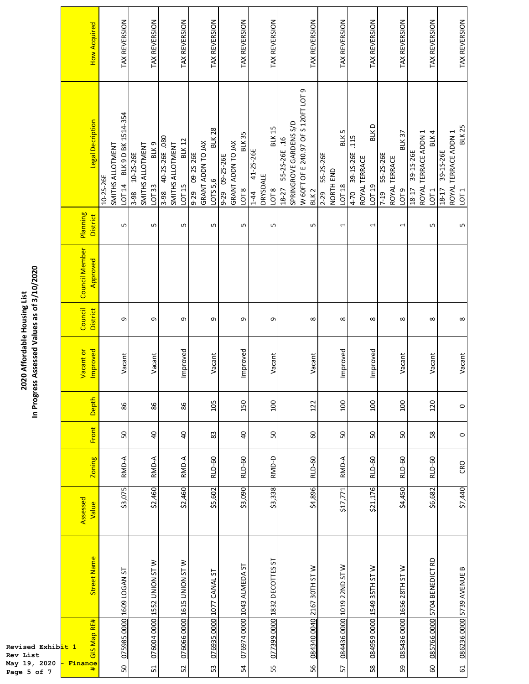|                                                                             | <b>How Acquired</b>        | TAX REVERSION                                                  | TAX REVERSION                                            | TAX REVERSION                                                             | TAX REVERSION                                                          | TAX REVERSION                                                           | TAX REVERSION                                                          | TAX REVERSION                                                                                              | TAX REVERSION                                         | TAX REVERSION                                                           | TAX REVERSION                                                          | TAX REVERSION                                                               | TAX REVERSION                                                        |
|-----------------------------------------------------------------------------|----------------------------|----------------------------------------------------------------|----------------------------------------------------------|---------------------------------------------------------------------------|------------------------------------------------------------------------|-------------------------------------------------------------------------|------------------------------------------------------------------------|------------------------------------------------------------------------------------------------------------|-------------------------------------------------------|-------------------------------------------------------------------------|------------------------------------------------------------------------|-----------------------------------------------------------------------------|----------------------------------------------------------------------|
|                                                                             | Legal Decription           | BLK 9 D BK 1514-354<br>SMITHS ALLOTMENT<br>10-25-26E<br>LOT 14 | BLK 9<br>SMITHS ALLOTMENT<br>10-25-26E<br>LOT 33<br>3-98 | 40-25-26E .080<br><b>BLK 12</b><br>SMITHS ALLOTMENT<br>LOT 15<br>$3 - 98$ | <b>BLK28</b><br>GRANT ADDN TO JAX<br>09-25-26E<br>LOTS 5,6<br>$9 - 29$ | <b>BLK35</b><br>GRANT ADDN TO JAX<br>9-29 09-25-26E<br>LOT <sub>8</sub> | <b>BLK 15</b><br>41-25-26E<br>DRYSDALE<br>LOT <sub>8</sub><br>$1 - 44$ | W 60FT OF E 240.97 OF S 120FT LOT 9<br>SPRINGROVE GARDENS S/D<br>55-25-26E.16<br>18-27<br>BLK <sub>2</sub> | BLK 5<br>55-25-26E<br>NORTH END<br>LOT 18<br>$2 - 29$ | <b>BLKD</b><br>.115<br>39-15-26E<br>ROYAL TERRACE<br>LOT 19<br>$4 - 70$ | <b>BLK37</b><br>55-25-26E<br>ROYAL TERRACE<br>LOT <sub>9</sub><br>7-19 | ROYAL TERRACE ADDN 1<br>BLK 4<br>39-1S-26E<br>$18 - 17$<br>LOT <sub>1</sub> | <b>BLK 25</b><br>ROYAL TERRACE ADDN 1<br>39-15-26E<br>18-17<br>LOT 1 |
|                                                                             | Planning<br>District       | S                                                              | S                                                        | Б                                                                         | LŊ                                                                     | LN,                                                                     | S                                                                      | LN                                                                                                         | 1                                                     | $\overline{ }$                                                          | $\overline{ }$                                                         | S                                                                           | LO                                                                   |
| In Progress Assessed Values as of 3/10/2020<br>2020 Affordable Housing List | Council Member<br>Approved |                                                                |                                                          |                                                                           |                                                                        |                                                                         |                                                                        |                                                                                                            |                                                       |                                                                         |                                                                        |                                                                             |                                                                      |
|                                                                             | Council<br><b>District</b> | σ                                                              | G                                                        | G                                                                         | თ                                                                      | G                                                                       | o                                                                      | $\infty$                                                                                                   | $\infty$                                              | $\infty$                                                                | ${}^{\circ}$                                                           | $\infty$                                                                    | $\infty$                                                             |
|                                                                             | Vacant or<br>Improved      | Vacant                                                         | Vacant                                                   | Improved                                                                  | Vacant                                                                 | Improved                                                                | Vacant                                                                 | Vacant                                                                                                     | Improved                                              | Improved                                                                | Vacant                                                                 | Vacant                                                                      | Vacant                                                               |
|                                                                             | Depth                      | 86                                                             | 86                                                       | 86                                                                        | 105                                                                    | 150                                                                     | 100                                                                    | 122                                                                                                        | 100                                                   | 100                                                                     | 100                                                                    | 120                                                                         | $\circ$                                                              |
|                                                                             | Front                      | 50                                                             | $\overline{a}$                                           | $\overline{a}$                                                            | 83                                                                     | $\overline{a}$                                                          | 50                                                                     | 60                                                                                                         | SO                                                    | SO                                                                      | 50                                                                     | 58                                                                          | $\circ$                                                              |
|                                                                             | <b>Zoning</b>              | RMD-A                                                          | RMD-A                                                    | RMD-A                                                                     | <b>RLD-60</b>                                                          | <b>RLD-60</b>                                                           | RMD-D                                                                  | <b>RLD-60</b>                                                                                              | RMD-A                                                 | <b>RLD-60</b>                                                           | <b>RLD-60</b>                                                          | <b>RLD-60</b>                                                               | CRO                                                                  |
| Revised Exhib <mark>it 1</mark><br>Rev List                                 | Assessed<br>Value          | \$3,075                                                        | \$2,460                                                  | \$2,460                                                                   | \$5,602                                                                | \$3,090                                                                 | \$3,338                                                                | \$4,896                                                                                                    | \$17,771                                              | \$21,176                                                                | \$4,450                                                                | \$6,682                                                                     | \$7,440                                                              |
|                                                                             | <b>Street Name</b>         | 075985 0000 1609 LOGAN ST                                      | 076004 0000 1552 UNION ST W                              | 076066 0000 1615 UNION ST W                                               | 076935 0000 1077 CANAL ST                                              | 076974 0000 1043 ALMEDA ST                                              | <u>077399 0000 1832 DECOTTES ST</u>                                    | 084340 0040 2167 30TH ST W                                                                                 | 084436 0000 1019 22ND ST W                            | 084959 0000 1549 35TH STW                                               | 085436 0000 1656 28TH ST W                                             | 5704 BENEDICT RD                                                            | 086236 0000 5739 AVENUE B                                            |
|                                                                             | GIS Map RE#                |                                                                |                                                          |                                                                           |                                                                        |                                                                         |                                                                        |                                                                                                            |                                                       |                                                                         |                                                                        | 085766 0000                                                                 |                                                                      |
| May 19, 2020<br>Page 5 of 7                                                 | Finance<br>#               | SO,                                                            | 51                                                       | 52                                                                        | 53                                                                     | PS.                                                                     | 55                                                                     | 56                                                                                                         | 57                                                    | 58                                                                      | 59                                                                     | 8                                                                           | 61                                                                   |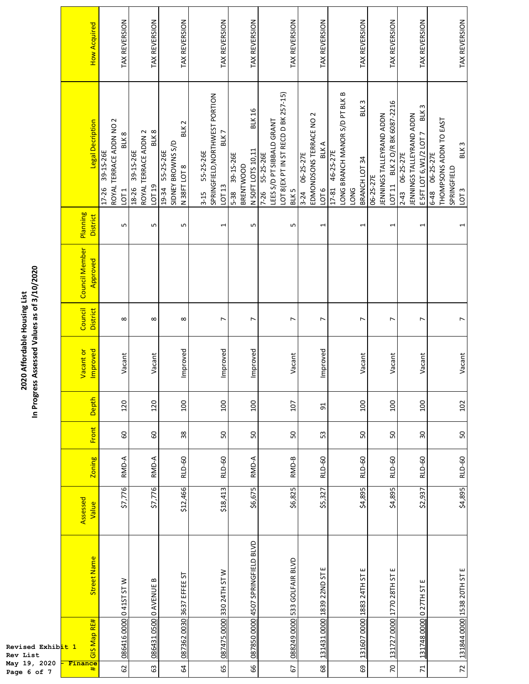| ess Assessed Values as of 3/10/2020<br>2020 Affordable Housing List | <b>How Acquired</b>        | TAX REVERSION                                                          | TAX REVERSION                                                 | TAX REVERSION                                                             | TAX REVERSION                                                                        | TAX REVERSION                                                               | TAX REVERSION                                                                                          | TAX REVERSION                                                           | TAX REVERSION                                                                                           | TAX REVERSION                                                          | TAX REVERSION                                                                             | TAX REVERSION                                                                                   |
|---------------------------------------------------------------------|----------------------------|------------------------------------------------------------------------|---------------------------------------------------------------|---------------------------------------------------------------------------|--------------------------------------------------------------------------------------|-----------------------------------------------------------------------------|--------------------------------------------------------------------------------------------------------|-------------------------------------------------------------------------|---------------------------------------------------------------------------------------------------------|------------------------------------------------------------------------|-------------------------------------------------------------------------------------------|-------------------------------------------------------------------------------------------------|
|                                                                     | Legal Decription           | ROYAL TERRACE ADDN NO 2<br>BLK8<br>17-26 39-15-26E<br>LOT <sub>1</sub> | BLK 8<br>ROYAL TERRACE ADDN 2<br>39-15-26E<br>LOT 19<br>18-26 | BLK <sub>2</sub><br>SIDNEY BROWNS S/D<br>55-25-26E<br>N38FT LOT8<br>19-34 | SPRINGFIELD, NORTHWEST PORTION<br>BLK7<br>55-25-26E<br>LOT <sub>13</sub><br>$3 - 15$ | <b>BLK 16</b><br>N 50FT LOTS 10,11<br>39-15-26E<br><b>BRENTWOOD</b><br>5-38 | LOT 8(EX PT IN ST RECD D BK 257-15)<br>LEES S/D PT SIBBALD GRANT<br>7-26 55-25-26E<br>BLK <sub>5</sub> | EDMONDSONS TERRACE NO 2<br><b>BLKA</b><br>06-25-27E<br>1016<br>$3 - 24$ | LONG BRANCH MANOR S/D PT BLK B<br>BLK <sub>3</sub><br>46-25-27E<br>BRANCH LOT 34<br>17-81<br><b>DNG</b> | LOT 11 BLK 2 O/R BK 6087-2216<br>JENNINGS TALLEYRAND ADDN<br>06-25-27E | BLK <sub>3</sub><br>JENNINGS TALLEYRAND ADDN<br>E 5FT LOT 6, W1/2 LOT 7<br>2-43 06-25-27E | THOMPSONS ADDN TO EAST<br>BLK <sub>3</sub><br>6-48 06-25-27E<br>SPRINGFIELD<br>LOT <sub>3</sub> |
|                                                                     | Planning<br>District       | LŊ                                                                     | LO,                                                           | S                                                                         | $\overline{\phantom{0}}$                                                             | LŊ                                                                          | LN,                                                                                                    | 1                                                                       | 1                                                                                                       | $\overline{\phantom{0}}$                                               | $\overline{\phantom{0}}$                                                                  | 1                                                                                               |
|                                                                     | Council Member<br>Approved |                                                                        |                                                               |                                                                           |                                                                                      |                                                                             |                                                                                                        |                                                                         |                                                                                                         |                                                                        |                                                                                           |                                                                                                 |
|                                                                     | Council<br>District        | ${}^{\circ}$                                                           | $\infty$                                                      | ${}^{\circ}$                                                              | $\overline{ }$                                                                       | $\overline{ }$                                                              | $\overline{ }$                                                                                         | $\overline{ }$                                                          | $\overline{ }$                                                                                          | $\overline{ }$                                                         | L                                                                                         | $\overline{ }$                                                                                  |
|                                                                     | Improved<br>Vacant or      | Vacant                                                                 | Vacant                                                        | Improved                                                                  | Improved                                                                             | Improved                                                                    | Vacant                                                                                                 | Improved                                                                | Vacant                                                                                                  | Vacant                                                                 | Vacant                                                                                    | Vacant                                                                                          |
| In Progr                                                            | Depth                      | 120                                                                    | 120                                                           | 100                                                                       | 100                                                                                  | 100                                                                         | 107                                                                                                    | 5 <sup>1</sup>                                                          | 100                                                                                                     | 100                                                                    | 100                                                                                       | 102                                                                                             |
|                                                                     | <b>Front</b>               | 60                                                                     | 60                                                            | 38                                                                        | 50                                                                                   | 50                                                                          | SO                                                                                                     | 53                                                                      | 50                                                                                                      | SO,                                                                    | $30\,$                                                                                    | 50                                                                                              |
|                                                                     | <b>Zoning</b>              | RMD-A                                                                  | RMD-A                                                         | <b>RLD-60</b>                                                             | <b>RLD-60</b>                                                                        | RMD-A                                                                       | RMD-B                                                                                                  | <b>RLD-60</b>                                                           | <b>RLD-60</b>                                                                                           | <b>RLD-60</b>                                                          | <b>RLD-60</b>                                                                             | <b>RLD-60</b>                                                                                   |
|                                                                     | Assessed<br>Value          | \$7,776                                                                | \$7,776                                                       | \$12,466                                                                  | \$18,413                                                                             | \$6,675                                                                     | \$6,825                                                                                                | \$5,327                                                                 | \$4,895                                                                                                 | \$4,895                                                                | \$2,937                                                                                   | \$4,895                                                                                         |
|                                                                     | Street Name                |                                                                        | ≃                                                             | 087362 0030 3637 EFFEE ST                                                 | 330 24TH ST W                                                                        | 087850 0000 4507 SPRINGFIELD BLVD                                           | 088249 0000 533 GOLFAIR BLVD                                                                           | ш<br>131431_0000 1839 22ND ST                                           | ш<br>5                                                                                                  | 131727 0000 1770 28TH ST E                                             | ш                                                                                         | 131844 0000 1538 20TH ST E                                                                      |
| Revised Exhib <mark>it 1</mark><br><b>Rev List</b>                  | GIS Map RE#                | 086416 0000 0 41ST ST W                                                | 086431 0500 0 AVENUE                                          |                                                                           | 087475 0000                                                                          |                                                                             |                                                                                                        |                                                                         | 131607 0000 1883 24TH                                                                                   |                                                                        | 131748 0000 0 27TH ST                                                                     |                                                                                                 |
| May 19, 2020<br>Page 6 of 7                                         | Finance<br>#               | 62                                                                     | යි                                                            | $\mathcal{Q}$                                                             | 65                                                                                   | 99                                                                          | 67                                                                                                     | $\mathsf{68}$                                                           | 69                                                                                                      | $\mathcal{L}$                                                          | $\overline{z}$                                                                            | $\overline{z}$                                                                                  |